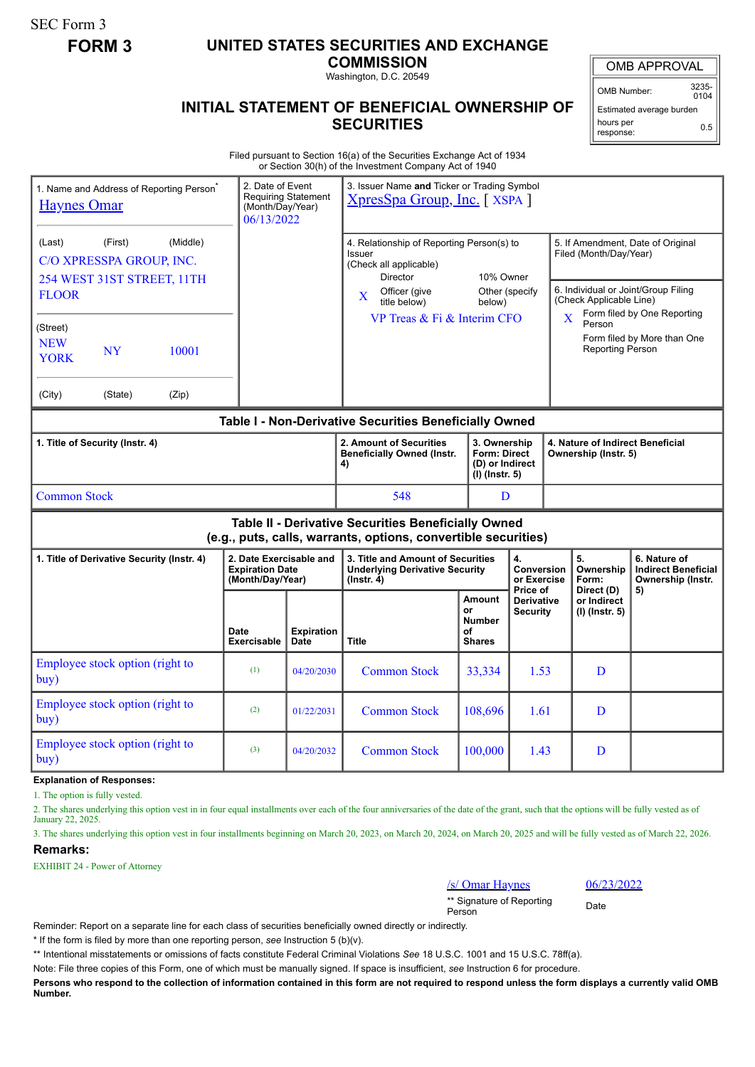SEC Form 3

## **FORM 3 UNITED STATES SECURITIES AND EXCHANGE**

**COMMISSION**

Washington, D.C. 20549

## **INITIAL STATEMENT OF BENEFICIAL OWNERSHIP OF SECURITIES**

OMB APPROVAL

OMB Number: 3235-  $0104$ 

Estimated average burden hours per response: 0.5

Filed pursuant to Section 16(a) of the Securities Exchange Act of 1934 or Section 30(h) of the Investment Company Act of 1940

| <b>Haynes Omar</b>                                                                                                    |                                                                   | 1. Name and Address of Reporting Person <sup>®</sup> | 2. Date of Event<br>(Month/Day/Year)<br>06/13/2022                    | <b>Requiring Statement</b>       | 3. Issuer Name and Ticker or Trading Symbol<br>XpresSpa Group, Inc. [XSPA ]                                                                                              |                                                      |                                                                                                                                                              |                                                                       |                                                          |                                                                 |  |
|-----------------------------------------------------------------------------------------------------------------------|-------------------------------------------------------------------|------------------------------------------------------|-----------------------------------------------------------------------|----------------------------------|--------------------------------------------------------------------------------------------------------------------------------------------------------------------------|------------------------------------------------------|--------------------------------------------------------------------------------------------------------------------------------------------------------------|-----------------------------------------------------------------------|----------------------------------------------------------|-----------------------------------------------------------------|--|
| (Last)<br><b>FLOOR</b>                                                                                                | (First)<br>C/O XPRESSPA GROUP, INC.<br>254 WEST 31ST STREET, 11TH | (Middle)                                             |                                                                       |                                  | 4. Relationship of Reporting Person(s) to<br>Issuer<br>(Check all applicable)<br>Director<br>10% Owner<br>Officer (give<br>Other (specify<br>X<br>title below)<br>below) |                                                      | 5. If Amendment, Date of Original<br>Filed (Month/Day/Year)<br>6. Individual or Joint/Group Filing<br>(Check Applicable Line)<br>Form filed by One Reporting |                                                                       |                                                          |                                                                 |  |
| (Street)<br><b>NEW</b><br><b>NY</b><br>10001<br><b>YORK</b>                                                           |                                                                   |                                                      |                                                                       | VP Treas & Fi & Interim CFO      |                                                                                                                                                                          |                                                      |                                                                                                                                                              | X<br>Person<br>Form filed by More than One<br><b>Reporting Person</b> |                                                          |                                                                 |  |
| (City)                                                                                                                | (State)                                                           | (Zip)                                                |                                                                       |                                  |                                                                                                                                                                          |                                                      |                                                                                                                                                              |                                                                       |                                                          |                                                                 |  |
| Table I - Non-Derivative Securities Beneficially Owned                                                                |                                                                   |                                                      |                                                                       |                                  |                                                                                                                                                                          |                                                      |                                                                                                                                                              |                                                                       |                                                          |                                                                 |  |
| 1. Title of Security (Instr. 4)                                                                                       |                                                                   |                                                      |                                                                       |                                  | 2. Amount of Securities<br><b>Beneficially Owned (Instr.</b><br>4)                                                                                                       |                                                      | 3. Ownership<br><b>Form: Direct</b><br>(D) or Indirect<br>$(I)$ (Instr. 5)                                                                                   |                                                                       | 4. Nature of Indirect Beneficial<br>Ownership (Instr. 5) |                                                                 |  |
| <b>Common Stock</b>                                                                                                   |                                                                   |                                                      |                                                                       |                                  | 548                                                                                                                                                                      | D                                                    |                                                                                                                                                              |                                                                       |                                                          |                                                                 |  |
| Table II - Derivative Securities Beneficially Owned<br>(e.g., puts, calls, warrants, options, convertible securities) |                                                                   |                                                      |                                                                       |                                  |                                                                                                                                                                          |                                                      |                                                                                                                                                              |                                                                       |                                                          |                                                                 |  |
| 1. Title of Derivative Security (Instr. 4)                                                                            |                                                                   |                                                      | 2. Date Exercisable and<br><b>Expiration Date</b><br>(Month/Day/Year) |                                  | 3. Title and Amount of Securities<br><b>Underlying Derivative Security</b><br>$($ lnstr. 4 $)$                                                                           |                                                      | 4.<br>Conversion<br>or Exercise                                                                                                                              |                                                                       | 5.<br>Ownership<br>Form:                                 | 6. Nature of<br><b>Indirect Beneficial</b><br>Ownership (Instr. |  |
|                                                                                                                       |                                                                   |                                                      | Date<br><b>Exercisable</b>                                            | <b>Expiration</b><br><b>Date</b> | <b>Title</b>                                                                                                                                                             | Amount<br>or<br><b>Number</b><br>οf<br><b>Shares</b> | Price of<br><b>Derivative</b><br><b>Security</b>                                                                                                             |                                                                       | Direct (D)<br>or Indirect<br>(I) (Instr. 5)              | 5)                                                              |  |
| Employee stock option (right to<br>buy)                                                                               |                                                                   | (1)                                                  | 04/20/2030                                                            | <b>Common Stock</b>              | 33,334                                                                                                                                                                   | 1.53                                                 |                                                                                                                                                              | D                                                                     |                                                          |                                                                 |  |
| buy)                                                                                                                  | Employee stock option (right to                                   |                                                      | (2)                                                                   | 01/22/2031                       | <b>Common Stock</b>                                                                                                                                                      | 108,696                                              | 1.61                                                                                                                                                         |                                                                       | D                                                        |                                                                 |  |
| Employee stock option (right to<br>buy)                                                                               |                                                                   |                                                      | (3)                                                                   | 04/20/2032                       | <b>Common Stock</b>                                                                                                                                                      | 100,000                                              | 1.43                                                                                                                                                         |                                                                       | D                                                        |                                                                 |  |

**Explanation of Responses:**

1. The option is fully vested.

2. The shares underlying this option vest in in four equal installments over each of the four anniversaries of the date of the grant, such that the options will be fully vested as of January 22, 2025.

3. The shares underlying this option vest in four installments beginning on March 20, 2023, on March 20, 2024, on March 20, 2025 and will be fully vested as of March 22, 2026. **Remarks:**

EXHIBIT 24 - Power of Attorney

/s/ Omar Haynes 06/23/2022

\*\* Signature of Reporting <sub>Date</sub><br>Person

Reminder: Report on a separate line for each class of securities beneficially owned directly or indirectly.

\* If the form is filed by more than one reporting person, *see* Instruction 5 (b)(v).

\*\* Intentional misstatements or omissions of facts constitute Federal Criminal Violations *See* 18 U.S.C. 1001 and 15 U.S.C. 78ff(a).

Note: File three copies of this Form, one of which must be manually signed. If space is insufficient, *see* Instruction 6 for procedure.

**Persons who respond to the collection of information contained in this form are not required to respond unless the form displays a currently valid OMB Number.**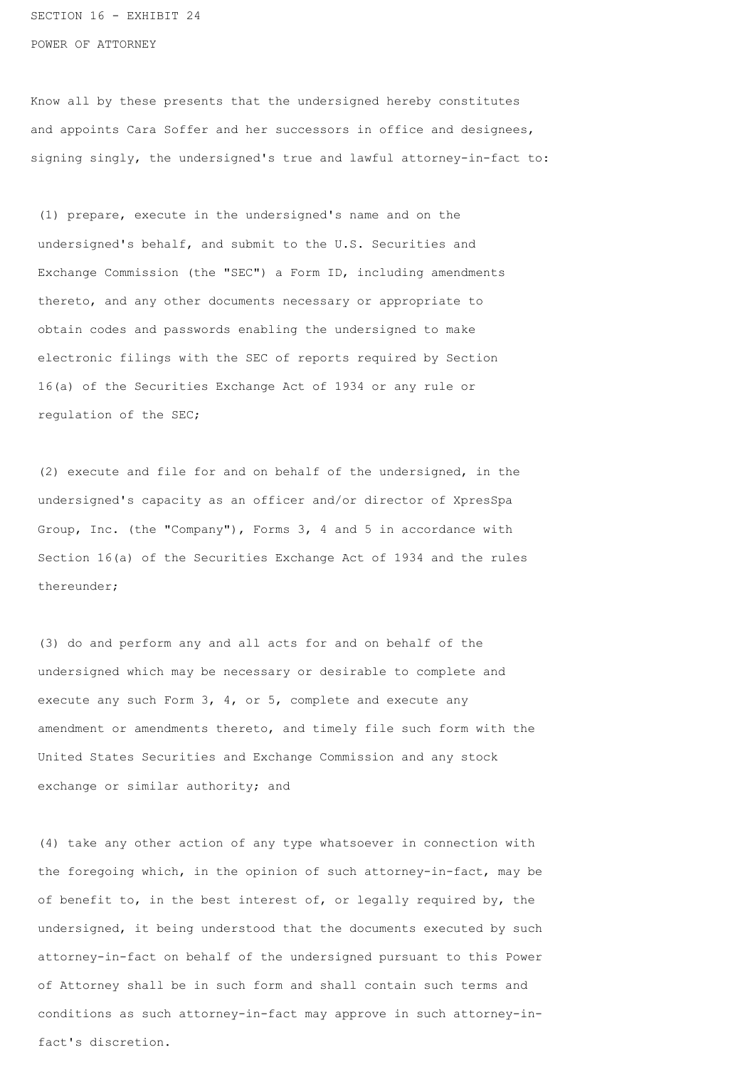SECTION 16 - EXHIBIT 24 POWER OF ATTORNEY

Know all by these presents that the undersigned hereby constitutes and appoints Cara Soffer and her successors in office and designees, signing singly, the undersigned's true and lawful attorney-in-fact to:

 (1) prepare, execute in the undersigned's name and on the undersigned's behalf, and submit to the U.S. Securities and Exchange Commission (the "SEC") a Form ID, including amendments thereto, and any other documents necessary or appropriate to obtain codes and passwords enabling the undersigned to make electronic filings with the SEC of reports required by Section 16(a) of the Securities Exchange Act of 1934 or any rule or regulation of the SEC;

 (2) execute and file for and on behalf of the undersigned, in the undersigned's capacity as an officer and/or director of XpresSpa Group, Inc. (the "Company"), Forms 3, 4 and 5 in accordance with Section 16(a) of the Securities Exchange Act of 1934 and the rules thereunder;

 (3) do and perform any and all acts for and on behalf of the undersigned which may be necessary or desirable to complete and execute any such Form 3, 4, or 5, complete and execute any amendment or amendments thereto, and timely file such form with the United States Securities and Exchange Commission and any stock exchange or similar authority; and

 (4) take any other action of any type whatsoever in connection with the foregoing which, in the opinion of such attorney-in-fact, may be of benefit to, in the best interest of, or legally required by, the undersigned, it being understood that the documents executed by such attorney-in-fact on behalf of the undersigned pursuant to this Power of Attorney shall be in such form and shall contain such terms and conditions as such attorney-in-fact may approve in such attorney-in fact's discretion.